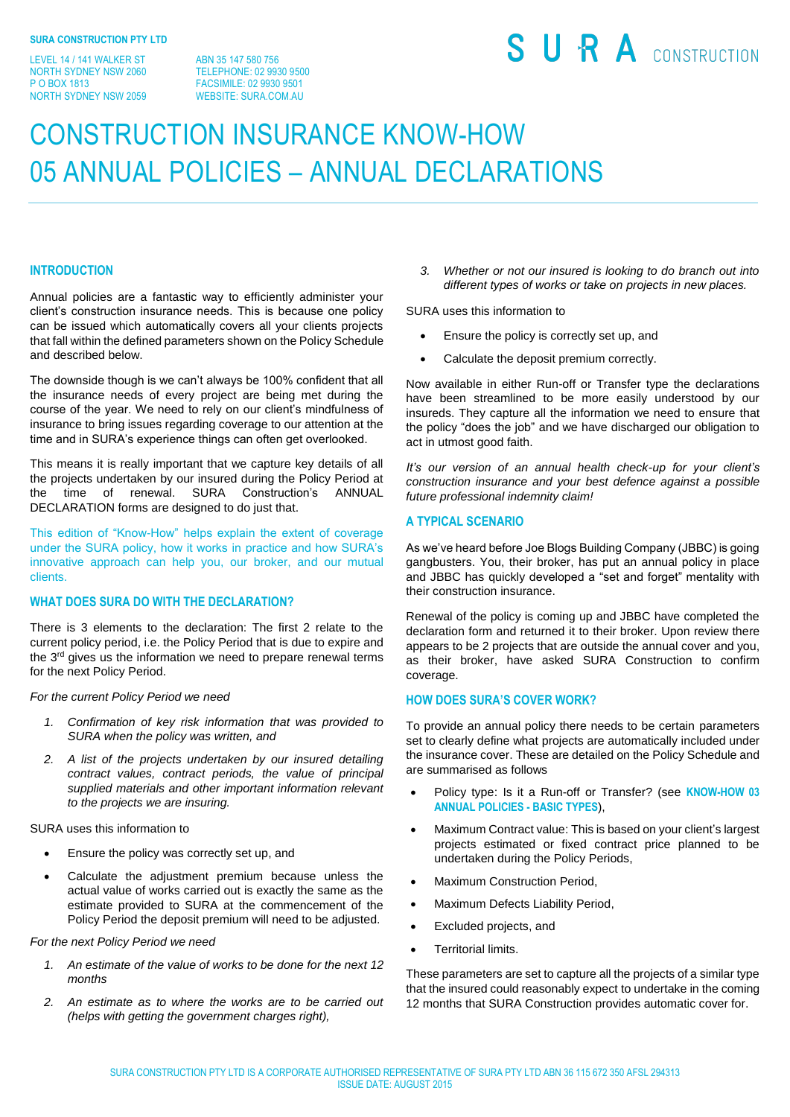LEVEL 14 / 141 WALKER ST NORTH SYDNEY NSW 2060 P O BOX 1813 NORTH SYDNEY NSW 2059

ABN 35 147 580 756 TELEPHONE: 02 9930 9500 FACSIMILE: 02 9930 9501 WEBSITE: SURA.COM.AU

# SURA CONSTRUCTION

# CONSTRUCTION INSURANCE KNOW-HOW 05 ANNUAL POLICIES – ANNUAL DECLARATIONS

# **INTRODUCTION**

Annual policies are a fantastic way to efficiently administer your client's construction insurance needs. This is because one policy can be issued which automatically covers all your clients projects that fall within the defined parameters shown on the Policy Schedule and described below.

The downside though is we can't always be 100% confident that all the insurance needs of every project are being met during the course of the year. We need to rely on our client's mindfulness of insurance to bring issues regarding coverage to our attention at the time and in SURA's experience things can often get overlooked.

This means it is really important that we capture key details of all the projects undertaken by our insured during the Policy Period at the time of renewal. SURA Construction's ANNUAL DECLARATION forms are designed to do just that.

This edition of "Know-How" helps explain the extent of coverage under the SURA policy, how it works in practice and how SURA's innovative approach can help you, our broker, and our mutual clients.

# **WHAT DOES SURA DO WITH THE DECLARATION?**

There is 3 elements to the declaration: The first 2 relate to the current policy period, i.e. the Policy Period that is due to expire and the 3<sup>rd</sup> gives us the information we need to prepare renewal terms for the next Policy Period.

*For the current Policy Period we need*

- *1. Confirmation of key risk information that was provided to SURA when the policy was written, and*
- *2. A list of the projects undertaken by our insured detailing contract values, contract periods, the value of principal supplied materials and other important information relevant to the projects we are insuring.*

SURA uses this information to

- Ensure the policy was correctly set up, and
- Calculate the adjustment premium because unless the actual value of works carried out is exactly the same as the estimate provided to SURA at the commencement of the Policy Period the deposit premium will need to be adjusted.

#### *For the next Policy Period we need*

- *1. An estimate of the value of works to be done for the next 12 months*
- *2. An estimate as to where the works are to be carried out (helps with getting the government charges right),*

*3. Whether or not our insured is looking to do branch out into different types of works or take on projects in new places.*

SURA uses this information to

- Ensure the policy is correctly set up, and
- Calculate the deposit premium correctly.

Now available in either Run-off or Transfer type the declarations have been streamlined to be more easily understood by our insureds. They capture all the information we need to ensure that the policy "does the job" and we have discharged our obligation to act in utmost good faith.

*It's our version of an annual health check-up for your client's construction insurance and your best defence against a possible future professional indemnity claim!*

# **A TYPICAL SCENARIO**

As we've heard before Joe Blogs Building Company (JBBC) is going gangbusters. You, their broker, has put an annual policy in place and JBBC has quickly developed a "set and forget" mentality with their construction insurance.

Renewal of the policy is coming up and JBBC have completed the declaration form and returned it to their broker. Upon review there appears to be 2 projects that are outside the annual cover and you, as their broker, have asked SURA Construction to confirm coverage.

### **HOW DOES SURA'S COVER WORK?**

To provide an annual policy there needs to be certain parameters set to clearly define what projects are automatically included under the insurance cover. These are detailed on the Policy Schedule and are summarised as follows

- Policy type: Is it a Run-off or Transfer? (see **KNOW-HOW 03 ANNUAL POLICIES - BASIC TYPES**),
- Maximum Contract value: This is based on your client's largest projects estimated or fixed contract price planned to be undertaken during the Policy Periods,
- Maximum Construction Period.
- Maximum Defects Liability Period,
- Excluded projects, and
- Territorial limits.

These parameters are set to capture all the projects of a similar type that the insured could reasonably expect to undertake in the coming 12 months that SURA Construction provides automatic cover for.